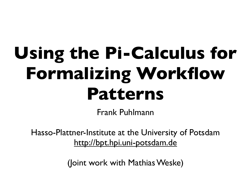# **Using the Pi-Calculus for Formalizing Workflow Patterns**

Frank Puhlmann

Hasso-Plattner-Institute at the University of Potsdam <http://bpt.hpi.uni-potsdam.de>

(Joint work with Mathias Weske)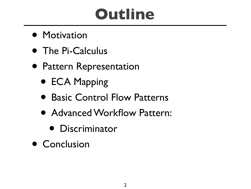## **Outline**

- **Motivation**
- The Pi-Calculus
- Pattern Representation
	- ECA Mapping
	- Basic Control Flow Patterns
	- Advanced Workflow Pattern:
		- Discriminator
- Conclusion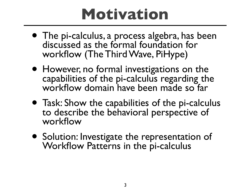### **Motivation**

- The pi-calculus, a process algebra, has been discussed as the formal foundation for workflow (The Third Wave, PiHype)
- However, no formal investigations on the capabilities of the pi-calculus regarding the workflow domain have been made so far
- Task: Show the capabilities of the pi-calculus to describe the behavioral perspective of workflow
- Solution: Investigate the representation of Workflow Patterns in the pi-calculus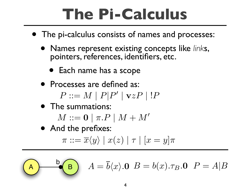## **The Pi-Calculus**

- The pi-calculus consists of names and processes:
	- Names represent existing concepts like *link*s, pointers, references, identifiers, etc.
		- Each name has a scope
	- Processes are defined as:

 $P ::= M \mid P|P' \mid \mathbf{v}zP \mid P$ 

• The summations:

 $M ::= \mathbf{0} | \pi.P | M + M'$ 

• And the prefixes:

$$
\pi ::= \overline{x}\langle y \rangle \mid x(z) \mid \tau \mid [x = y]\pi
$$

 $B$  $A = \overline{b}\langle x \rangle$ .0  $B = b(x)$ . $\tau_B$ .0  $P = A|B$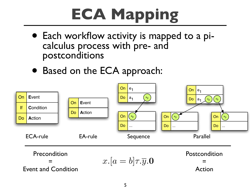# **ECA Mapping**

- Each workflow activity is mapped to a picalculus process with pre- and postconditions
- Based on the ECA approach:

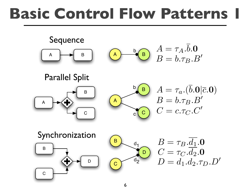### **Basic Control Flow Patterns 1**

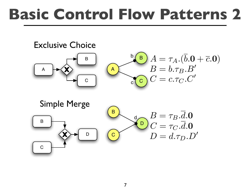### **Basic Control Flow Patterns 2**

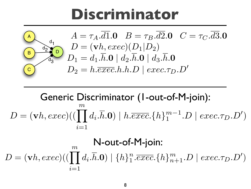#### **Discriminator**

![](_page_7_Figure_1.jpeg)

Generic Discriminator (1-out-of-M-join):  $D = (\mathbf{v}h, exec)((\prod d_i, \overline{h}.\mathbf{0}) \mid h. \overline{exec}. \{h\}_1^{m-1}.D \mid exec.\tau_D.D')$  $m$  $i=1$ 

$$
D = (\mathbf{v}h, exec)((\prod_{i=1}^{m} d_i \cdot \overline{h}.\mathbf{0}) \mid \{h\}_{1}^{n}.\overline{exec}.\{h\}_{n+1}^{m}.D \mid exec.\tau_D.D')
$$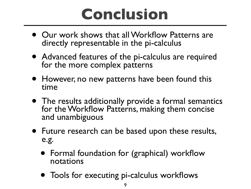### **Conclusion**

- Our work shows that all Workflow Patterns are directly representable in the pi-calculus
- Advanced features of the pi-calculus are required for the more complex patterns
- However, no new patterns have been found this time
- The results additionally provide a formal semantics for the Workflow Patterns, making them concise and unambiguous
- Future research can be based upon these results, e.g.
	- Formal foundation for (graphical) workflow notations
	- Tools for executing pi-calculus workflows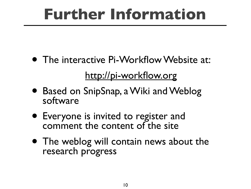## **Further Information**

- The interactive Pi-Workflow Website at: <http://pi-workflow.org>
- Based on SnipSnap, a Wiki and Weblog software
- Everyone is invited to register and comment the content of the site
- The weblog will contain news about the research progress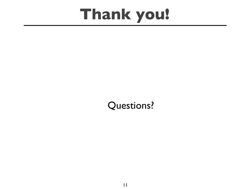### **Thank you!**

#### Questions?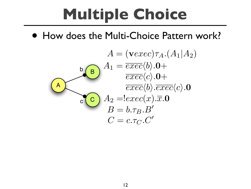# **Multiple Choice**

• How does the Multi-Choice Pattern work?

![](_page_11_Figure_2.jpeg)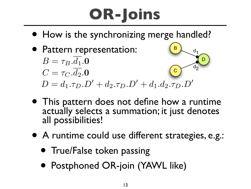# **OR-Joins**

• How is the synchronizing merge handled?

B

D

 $d<sub>1</sub>$ 

 $d<sub>2</sub>$ 

- Pattern representation:
	- C  $B=\tau_B.d_1.0$  $C = \tau_C \cdot \overline{d_2} \cdot \mathbf{0}$  $D = d_1.\tau_D.D' + d_2.\tau_D.D' + d_1.d_2.\tau_D.D'$
- This pattern does not define how a runtime actually selects a summation; it just denotes all possibilities!
- A runtime could use different strategies, e.g.:
	- True/False token passing
	- Postphoned OR-join (YAWL like)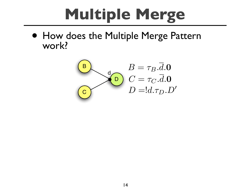# Multiple Merge

• How does the Multiple Merge Pattern work?

![](_page_13_Figure_2.jpeg)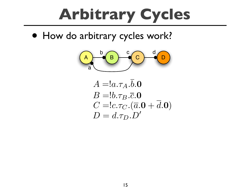# **Arbitrary Cycles**

• How do arbitrary cycles work?

![](_page_14_Picture_2.jpeg)

 $A = a.\tau_A.b.0$  $B = 0.7B \cdot \overline{c}$ .0  $C = !c.\tau_C.(\overline{a}.0 + \overline{d}.0)$  $D = d.\tau_D.D'$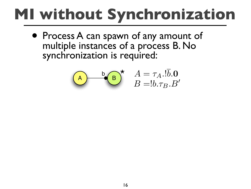# MI without Synchronization

• Process A can spawn of any amount of multiple instances of a process B. No synchronization is required:

$$
\begin{array}{cc}\n\bullet & \bullet \\
\hline\nB & B = b \cdot \tau_B B'\n\end{array}
$$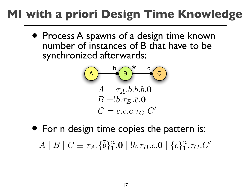#### **MI with a priori Design Time Knowledge**

• Process A spawns of a design time known number of instances of B that have to be synchronized afterwards:

$$
\begin{array}{c}\n\begin{array}{c}\n\mathbf{A} \\
\hline\nA = \tau_A . \overline{b} . \overline{b} . \overline{b} . \mathbf{0} \\
B = !b. \tau_B . \overline{c} . \mathbf{0} \\
C = c.c.c. \tau_C . C'\n\end{array}\n\end{array}
$$

• For n design time copies the pattern is:  $A \mid B \mid C \equiv \tau_A.\{\overline{b}\}_1^n.$   $\mathbf{0} \mid !b.\tau_B.\overline{c}.\mathbf{0} \mid \{c\}_1^n.\tau_C.C'$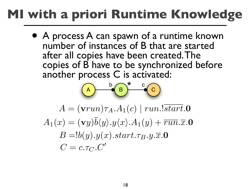#### **MI with a priori Runtime Knowledge**

• A process A can spawn of a runtime known number of instances of B that are started after all copies have been created.The copies of B have to be synchronized before another process C is activated:

![](_page_17_Figure_2.jpeg)

 $A = (\mathbf{v} run)\tau_A.A_1(c) \mid run.!start.0$  $A_1(x) = (vy)\overline{b}\langle y \rangle \cdot y \langle x \rangle \cdot A_1(y) + \overline{run} \cdot \overline{x} \cdot \mathbf{0}$  $B = b(y).y(x).start.\tau_B.y.\overline{x}.0$  $C = c.\tau_C.C'$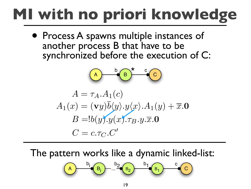# **MI with no priori knowledge**

• Process A spawns multiple instances of another process B that have to be synchronized before the execution of C:

$$
A = \tau_A.A_1(c)
$$
  
\n
$$
A_1(x) = (\mathbf{v}y)\overline{b}\langle y \rangle \cdot y \langle x \rangle \cdot A_1(y) + \overline{x} . \mathbf{0}
$$
  
\n
$$
B = b(y)\overline{b}\langle y \rangle \cdot y \langle x \rangle \cdot \tau_B \cdot y \cdot \overline{x} . \mathbf{0}
$$
  
\n
$$
C = c.\tau_C.C'
$$

The pattern works like a dynamic linked-list:

$$
\begin{array}{|c|c|c|c|}\n\hline\nA & b_i & b_i \\
\hline\nB_i & \cdots & B_2 & b_1 \\
\hline\nC & B_1 & \cdots & C_n\n\end{array}
$$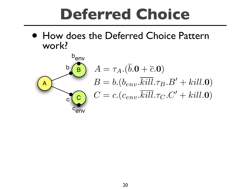### **Deferred Choice**

• How does the Deferred Choice Pattern work?

![](_page_19_Figure_2.jpeg)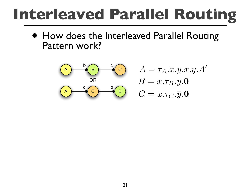## **Interleaved Parallel Routing**

• How does the Interleaved Parallel Routing Pattern work?

![](_page_20_Figure_2.jpeg)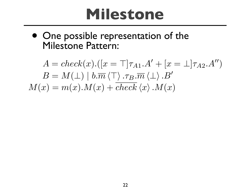### **Milestone**

• One possible representation of the Milestone Pattern:

 $A = check(x).([x = \top]\tau_{A1}.A' + [x = \bot]\tau_{A2}.A''$ <br>  $B = M(\bot) | b.\overline{m} \langle \top \rangle . \tau_B.\overline{m} \langle \bot \rangle .B'$ <br>  $x) = m(x).M(x) + check \langle x \rangle .M(x)$ <br>
22  $A = check(x).([x = \top | \tau_{A1}.A' + [x = \bot | \tau_{A2}.A'')$  $B = M(\perp) | b.\overline{m} \langle \perp \rangle .\tau_B.\overline{m} \langle \perp \rangle .B'$  $M(x) = m(x) \cdot M(x) + \overline{check}(x) \cdot M(x)$